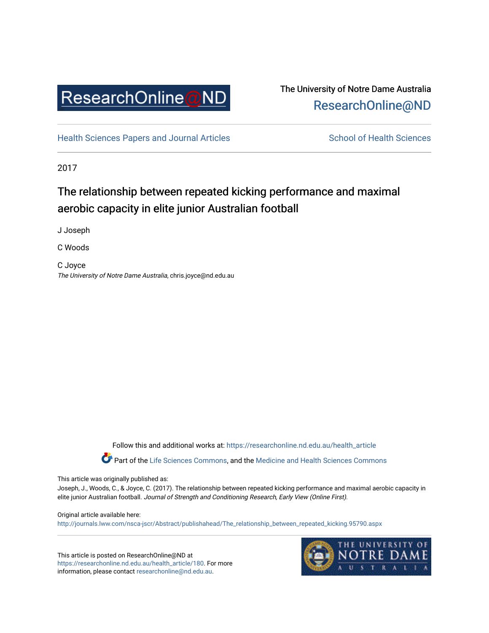

## The University of Notre Dame Australia [ResearchOnline@ND](https://researchonline.nd.edu.au/)

[Health Sciences Papers and Journal Articles](https://researchonline.nd.edu.au/health_article) School of Health Sciences

2017

# The relationship between repeated kicking performance and maximal aerobic capacity in elite junior Australian football

J Joseph

C Woods

C Joyce The University of Notre Dame Australia, chris.joyce@nd.edu.au

Follow this and additional works at: [https://researchonline.nd.edu.au/health\\_article](https://researchonline.nd.edu.au/health_article?utm_source=researchonline.nd.edu.au%2Fhealth_article%2F180&utm_medium=PDF&utm_campaign=PDFCoverPages)

Part of the [Life Sciences Commons](http://network.bepress.com/hgg/discipline/1016?utm_source=researchonline.nd.edu.au%2Fhealth_article%2F180&utm_medium=PDF&utm_campaign=PDFCoverPages), and the Medicine and Health Sciences Commons

This article was originally published as:

Joseph, J., Woods, C., & Joyce, C. (2017). The relationship between repeated kicking performance and maximal aerobic capacity in elite junior Australian football. Journal of Strength and Conditioning Research, Early View (Online First).

#### Original article available here:

[http://journals.lww.com/nsca-jscr/Abstract/publishahead/The\\_relationship\\_between\\_repeated\\_kicking.95790.aspx](http://journals.lww.com/nsca-jscr/Abstract/publishahead/The_relationship_between_repeated_kicking.95790.aspx) 

This article is posted on ResearchOnline@ND at [https://researchonline.nd.edu.au/health\\_article/180](https://researchonline.nd.edu.au/health_article/180). For more information, please contact [researchonline@nd.edu.au.](mailto:researchonline@nd.edu.au)

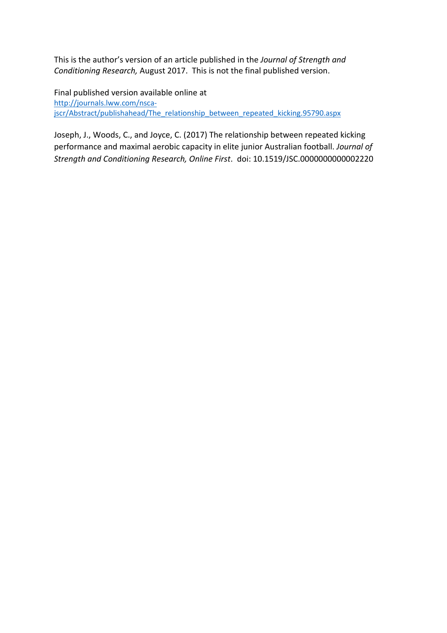This is the author's version of an article published in the *Journal of Strength and Conditioning Research,* August 2017. This is not the final published version.

Final published version available online at [http://journals.lww.com/nsca](http://journals.lww.com/nsca-jscr/Abstract/publishahead/The_relationship_between_repeated_kicking.95790.aspx)[jscr/Abstract/publishahead/The\\_relationship\\_between\\_repeated\\_kicking.95790.aspx](http://journals.lww.com/nsca-jscr/Abstract/publishahead/The_relationship_between_repeated_kicking.95790.aspx)

Joseph, J., Woods, C., and Joyce, C. (2017) The relationship between repeated kicking performance and maximal aerobic capacity in elite junior Australian football. *Journal of Strength and Conditioning Research, Online First*. doi: 10.1519/JSC.0000000000002220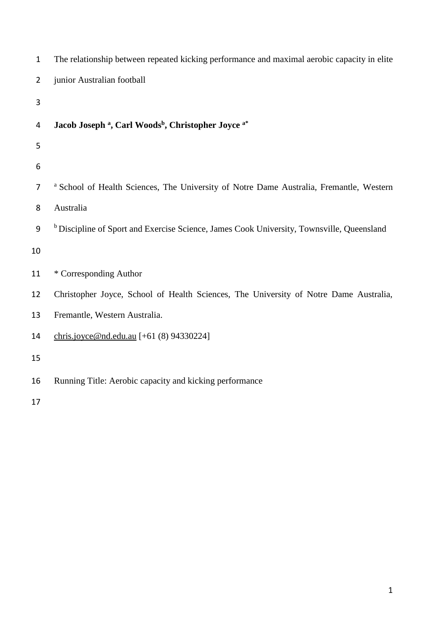| $\mathbf{1}$ | The relationship between repeated kicking performance and maximal aerobic capacity in elite          |
|--------------|------------------------------------------------------------------------------------------------------|
| 2            | junior Australian football                                                                           |
| 3            |                                                                                                      |
| 4            | Jacob Joseph <sup>a</sup> , Carl Woods <sup>b</sup> , Christopher Joyce <sup>a*</sup>                |
| 5            |                                                                                                      |
| 6            |                                                                                                      |
| 7            | <sup>a</sup> School of Health Sciences, The University of Notre Dame Australia, Fremantle, Western   |
| 8            | Australia                                                                                            |
| 9            | <sup>b</sup> Discipline of Sport and Exercise Science, James Cook University, Townsville, Queensland |
| 10           |                                                                                                      |
| 11           | * Corresponding Author                                                                               |
| 12           | Christopher Joyce, School of Health Sciences, The University of Notre Dame Australia,                |
| 13           | Fremantle, Western Australia.                                                                        |
| 14           | chris.joyce@nd.edu.au [+61 (8) 94330224]                                                             |
| 15           |                                                                                                      |
| 16           | Running Title: Aerobic capacity and kicking performance                                              |
|              |                                                                                                      |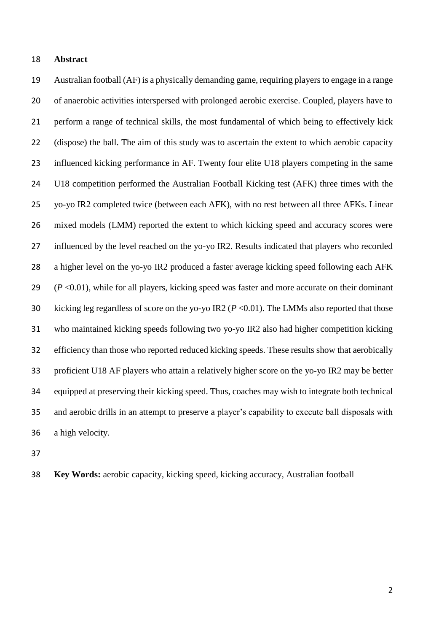### **Abstract**

 Australian football (AF) is a physically demanding game, requiring players to engage in a range of anaerobic activities interspersed with prolonged aerobic exercise. Coupled, players have to perform a range of technical skills, the most fundamental of which being to effectively kick (dispose) the ball. The aim of this study was to ascertain the extent to which aerobic capacity influenced kicking performance in AF. Twenty four elite U18 players competing in the same U18 competition performed the Australian Football Kicking test (AFK) three times with the yo-yo IR2 completed twice (between each AFK), with no rest between all three AFKs. Linear mixed models (LMM) reported the extent to which kicking speed and accuracy scores were influenced by the level reached on the yo-yo IR2. Results indicated that players who recorded 28 a higher level on the yo-yo IR2 produced a faster average kicking speed following each AFK (*P* <0.01), while for all players, kicking speed was faster and more accurate on their dominant 30 kicking leg regardless of score on the yo-yo IR2 ( $P < 0.01$ ). The LMMs also reported that those who maintained kicking speeds following two yo-yo IR2 also had higher competition kicking efficiency than those who reported reduced kicking speeds. These results show that aerobically proficient U18 AF players who attain a relatively higher score on the yo-yo IR2 may be better equipped at preserving their kicking speed. Thus, coaches may wish to integrate both technical and aerobic drills in an attempt to preserve a player's capability to execute ball disposals with a high velocity.

**Key Words:** aerobic capacity, kicking speed, kicking accuracy, Australian football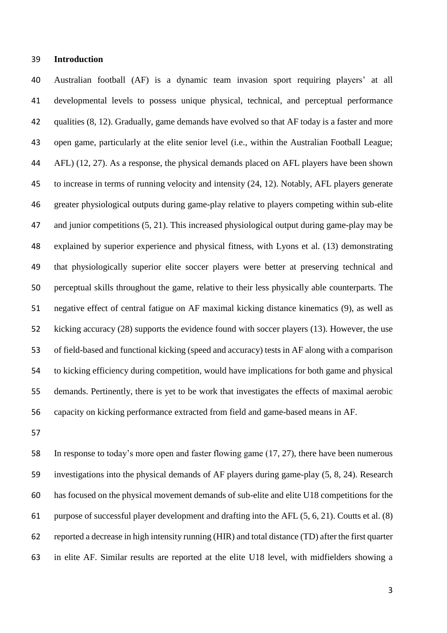## **Introduction**

 Australian football (AF) is a dynamic team invasion sport requiring players' at all developmental levels to possess unique physical, technical, and perceptual performance qualities (8, 12). Gradually, game demands have evolved so that AF today is a faster and more open game, particularly at the elite senior level (i.e., within the Australian Football League; AFL) (12, 27). As a response, the physical demands placed on AFL players have been shown to increase in terms of running velocity and intensity (24, 12). Notably, AFL players generate greater physiological outputs during game-play relative to players competing within sub-elite 47 and junior competitions (5, 21). This increased physiological output during game-play may be explained by superior experience and physical fitness, with Lyons et al. (13) demonstrating that physiologically superior elite soccer players were better at preserving technical and perceptual skills throughout the game, relative to their less physically able counterparts. The negative effect of central fatigue on AF maximal kicking distance kinematics (9), as well as kicking accuracy (28) supports the evidence found with soccer players (13). However, the use of field-based and functional kicking (speed and accuracy) tests in AF along with a comparison to kicking efficiency during competition, would have implications for both game and physical demands. Pertinently, there is yet to be work that investigates the effects of maximal aerobic capacity on kicking performance extracted from field and game-based means in AF.

 In response to today's more open and faster flowing game (17, 27), there have been numerous investigations into the physical demands of AF players during game-play (5, 8, 24). Research has focused on the physical movement demands of sub-elite and elite U18 competitions for the purpose of successful player development and drafting into the AFL (5, 6, 21). Coutts et al. (8) reported a decrease in high intensity running (HIR) and total distance (TD) after the first quarter in elite AF. Similar results are reported at the elite U18 level, with midfielders showing a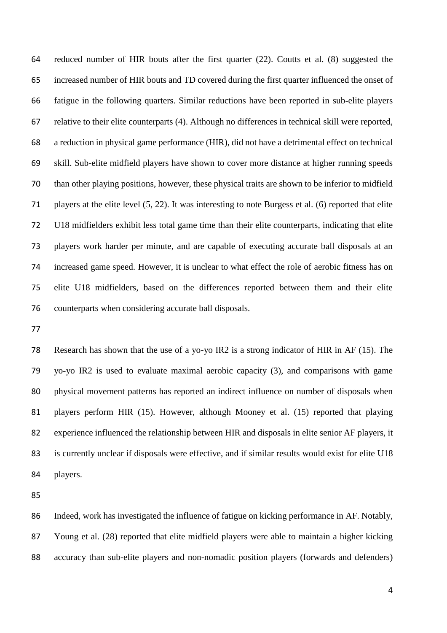reduced number of HIR bouts after the first quarter (22). Coutts et al. (8) suggested the increased number of HIR bouts and TD covered during the first quarter influenced the onset of fatigue in the following quarters. Similar reductions have been reported in sub-elite players relative to their elite counterparts (4). Although no differences in technical skill were reported, a reduction in physical game performance (HIR), did not have a detrimental effect on technical skill. Sub-elite midfield players have shown to cover more distance at higher running speeds than other playing positions, however, these physical traits are shown to be inferior to midfield players at the elite level (5, 22). It was interesting to note Burgess et al. (6) reported that elite U18 midfielders exhibit less total game time than their elite counterparts, indicating that elite players work harder per minute, and are capable of executing accurate ball disposals at an increased game speed. However, it is unclear to what effect the role of aerobic fitness has on elite U18 midfielders, based on the differences reported between them and their elite counterparts when considering accurate ball disposals.

 Research has shown that the use of a yo-yo IR2 is a strong indicator of HIR in AF (15). The yo-yo IR2 is used to evaluate maximal aerobic capacity (3), and comparisons with game physical movement patterns has reported an indirect influence on number of disposals when players perform HIR (15). However, although Mooney et al. (15) reported that playing experience influenced the relationship between HIR and disposals in elite senior AF players, it is currently unclear if disposals were effective, and if similar results would exist for elite U18 players.

 Indeed, work has investigated the influence of fatigue on kicking performance in AF. Notably, Young et al. (28) reported that elite midfield players were able to maintain a higher kicking accuracy than sub-elite players and non-nomadic position players (forwards and defenders)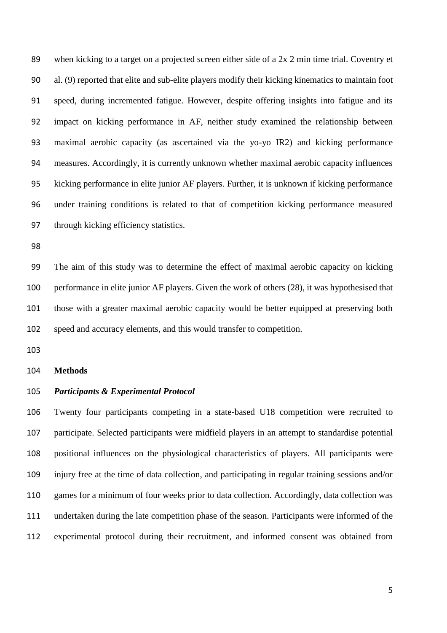when kicking to a target on a projected screen either side of a 2x 2 min time trial. Coventry et al. (9) reported that elite and sub-elite players modify their kicking kinematics to maintain foot speed, during incremented fatigue. However, despite offering insights into fatigue and its impact on kicking performance in AF, neither study examined the relationship between maximal aerobic capacity (as ascertained via the yo-yo IR2) and kicking performance measures. Accordingly, it is currently unknown whether maximal aerobic capacity influences kicking performance in elite junior AF players. Further, it is unknown if kicking performance under training conditions is related to that of competition kicking performance measured through kicking efficiency statistics.

 The aim of this study was to determine the effect of maximal aerobic capacity on kicking performance in elite junior AF players. Given the work of others (28), it was hypothesised that those with a greater maximal aerobic capacity would be better equipped at preserving both speed and accuracy elements, and this would transfer to competition.

#### **Methods**

## *Participants & Experimental Protocol*

 Twenty four participants competing in a state-based U18 competition were recruited to participate. Selected participants were midfield players in an attempt to standardise potential positional influences on the physiological characteristics of players. All participants were injury free at the time of data collection, and participating in regular training sessions and/or games for a minimum of four weeks prior to data collection. Accordingly, data collection was undertaken during the late competition phase of the season. Participants were informed of the experimental protocol during their recruitment, and informed consent was obtained from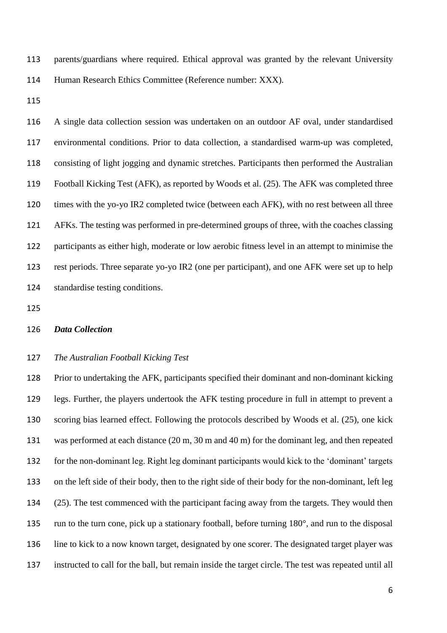parents/guardians where required. Ethical approval was granted by the relevant University Human Research Ethics Committee (Reference number: XXX).

 A single data collection session was undertaken on an outdoor AF oval, under standardised environmental conditions. Prior to data collection, a standardised warm-up was completed, consisting of light jogging and dynamic stretches. Participants then performed the Australian Football Kicking Test (AFK), as reported by Woods et al. (25). The AFK was completed three times with the yo-yo IR2 completed twice (between each AFK), with no rest between all three AFKs. The testing was performed in pre-determined groups of three, with the coaches classing participants as either high, moderate or low aerobic fitness level in an attempt to minimise the rest periods. Three separate yo-yo IR2 (one per participant), and one AFK were set up to help standardise testing conditions.

#### *Data Collection*

## *The Australian Football Kicking Test*

 Prior to undertaking the AFK, participants specified their dominant and non-dominant kicking legs. Further, the players undertook the AFK testing procedure in full in attempt to prevent a scoring bias learned effect. Following the protocols described by Woods et al. (25), one kick was performed at each distance (20 m, 30 m and 40 m) for the dominant leg, and then repeated for the non-dominant leg. Right leg dominant participants would kick to the 'dominant' targets on the left side of their body, then to the right side of their body for the non-dominant, left leg (25). The test commenced with the participant facing away from the targets. They would then run to the turn cone, pick up a stationary football, before turning 180°, and run to the disposal line to kick to a now known target, designated by one scorer. The designated target player was instructed to call for the ball, but remain inside the target circle. The test was repeated until all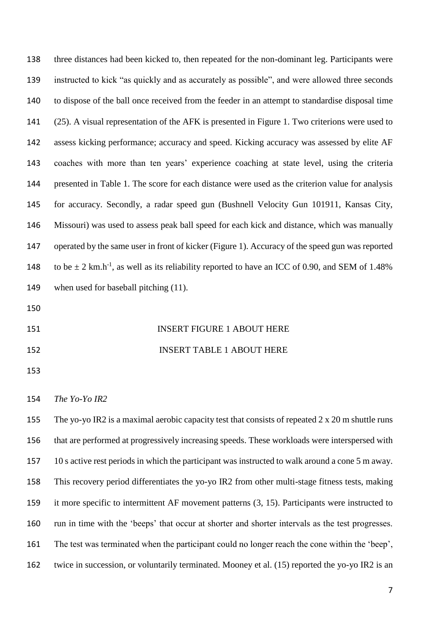| 138 | three distances had been kicked to, then repeated for the non-dominant leg. Participants were                   |
|-----|-----------------------------------------------------------------------------------------------------------------|
| 139 | instructed to kick "as quickly and as accurately as possible", and were allowed three seconds                   |
| 140 | to dispose of the ball once received from the feeder in an attempt to standardise disposal time                 |
| 141 | (25). A visual representation of the AFK is presented in Figure 1. Two criterions were used to                  |
| 142 | assess kicking performance; accuracy and speed. Kicking accuracy was assessed by elite AF                       |
| 143 | coaches with more than ten years' experience coaching at state level, using the criteria                        |
| 144 | presented in Table 1. The score for each distance were used as the criterion value for analysis                 |
| 145 | for accuracy. Secondly, a radar speed gun (Bushnell Velocity Gun 101911, Kansas City,                           |
| 146 | Missouri) was used to assess peak ball speed for each kick and distance, which was manually                     |
| 147 | operated by the same user in front of kicker (Figure 1). Accuracy of the speed gun was reported                 |
| 148 | to be $\pm$ 2 km.h <sup>-1</sup> , as well as its reliability reported to have an ICC of 0.90, and SEM of 1.48% |
| 149 | when used for baseball pitching (11).                                                                           |
| 150 |                                                                                                                 |
| 151 | <b>INSERT FIGURE 1 ABOUT HERE</b>                                                                               |
| 152 | <b>INSERT TABLE 1 ABOUT HERE</b>                                                                                |
| 153 |                                                                                                                 |
| 154 | The Yo-Yo IR2                                                                                                   |
| 155 | The yo-yo IR2 is a maximal aerobic capacity test that consists of repeated $2 \times 20$ m shuttle runs         |
| 156 | that are performed at progressively increasing speeds. These workloads were interspersed with                   |
| 157 | 10 s active rest periods in which the participant was instructed to walk around a cone 5 m away.                |
| 158 | This recovery period differentiates the yo-yo IR2 from other multi-stage fitness tests, making                  |
| 159 | it more specific to intermittent AF movement patterns $(3, 15)$ . Participants were instructed to               |
| 160 | run in time with the 'beeps' that occur at shorter and shorter intervals as the test progresses.                |
| 161 | The test was terminated when the participant could no longer reach the cone within the 'beep',                  |
| 162 | twice in succession, or voluntarily terminated. Mooney et al. (15) reported the yo-yo IR2 is an                 |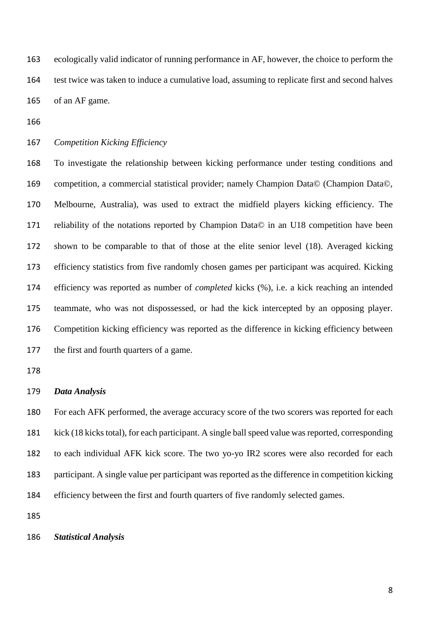ecologically valid indicator of running performance in AF, however, the choice to perform the test twice was taken to induce a cumulative load, assuming to replicate first and second halves of an AF game.

*Competition Kicking Efficiency*

 To investigate the relationship between kicking performance under testing conditions and competition, a commercial statistical provider; namely Champion Data© (Champion Data©, Melbourne, Australia), was used to extract the midfield players kicking efficiency. The reliability of the notations reported by Champion Data© in an U18 competition have been shown to be comparable to that of those at the elite senior level (18). Averaged kicking efficiency statistics from five randomly chosen games per participant was acquired. Kicking efficiency was reported as number of *completed* kicks (%), i.e. a kick reaching an intended teammate, who was not dispossessed, or had the kick intercepted by an opposing player. Competition kicking efficiency was reported as the difference in kicking efficiency between the first and fourth quarters of a game.

### *Data Analysis*

 For each AFK performed, the average accuracy score of the two scorers was reported for each kick (18 kicks total), for each participant. A single ball speed value was reported, corresponding to each individual AFK kick score. The two yo-yo IR2 scores were also recorded for each participant. A single value per participant was reported as the difference in competition kicking efficiency between the first and fourth quarters of five randomly selected games.

#### *Statistical Analysis*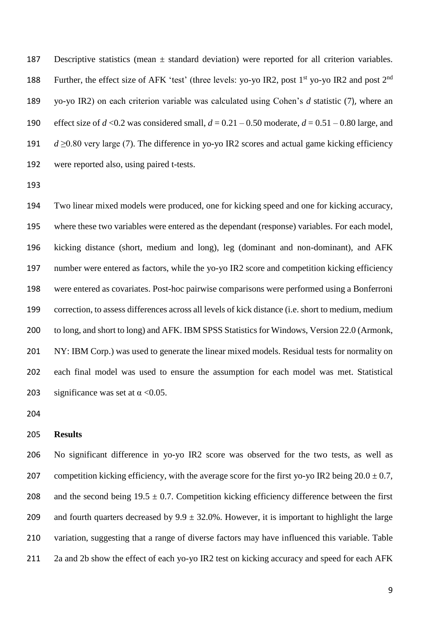Descriptive statistics (mean ± standard deviation) were reported for all criterion variables. 188 Further, the effect size of AFK 'test' (three levels: yo-yo IR2, post 1<sup>st</sup> yo-yo IR2 and post 2<sup>nd</sup> yo-yo IR2) on each criterion variable was calculated using Cohen's *d* statistic (7), where an 190 effect size of  $d < 0.2$  was considered small,  $d = 0.21 - 0.50$  moderate,  $d = 0.51 - 0.80$  large, and  $d \ge 0.80$  very large (7). The difference in yo-yo IR2 scores and actual game kicking efficiency were reported also, using paired t-tests.

 Two linear mixed models were produced, one for kicking speed and one for kicking accuracy, where these two variables were entered as the dependant (response) variables. For each model, kicking distance (short, medium and long), leg (dominant and non-dominant), and AFK number were entered as factors, while the yo-yo IR2 score and competition kicking efficiency were entered as covariates. Post-hoc pairwise comparisons were performed using a Bonferroni correction, to assess differences across all levels of kick distance (i.e. short to medium, medium to long, and short to long) and AFK. IBM SPSS Statistics for Windows, Version 22.0 (Armonk, NY: IBM Corp.) was used to generate the linear mixed models. Residual tests for normality on each final model was used to ensure the assumption for each model was met. Statistical 203 significance was set at  $\alpha$  <0.05.

## **Results**

 No significant difference in yo-yo IR2 score was observed for the two tests, as well as 207 competition kicking efficiency, with the average score for the first yo-yo IR2 being  $20.0 \pm 0.7$ , 208 and the second being  $19.5 \pm 0.7$ . Competition kicking efficiency difference between the first 209 and fourth quarters decreased by  $9.9 \pm 32.0\%$ . However, it is important to highlight the large variation, suggesting that a range of diverse factors may have influenced this variable. Table 211 2a and 2b show the effect of each yo-yo IR2 test on kicking accuracy and speed for each AFK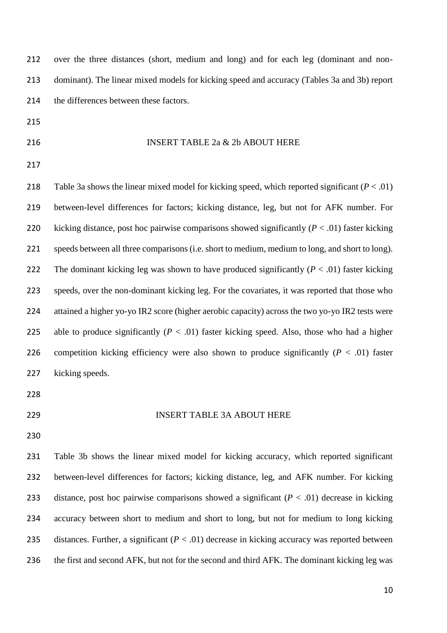over the three distances (short, medium and long) and for each leg (dominant and non- dominant). The linear mixed models for kicking speed and accuracy (Tables 3a and 3b) report 214 the differences between these factors.

- 
- 

## 216 INSERT TABLE 2a & 2b ABOUT HERE

218 Table 3a shows the linear mixed model for kicking speed, which reported significant  $(P < .01)$  between-level differences for factors; kicking distance, leg, but not for AFK number. For 220 kicking distance, post hoc pairwise comparisons showed significantly  $(P < .01)$  faster kicking speeds between all three comparisons (i.e. short to medium, medium to long, and short to long). 222 The dominant kicking leg was shown to have produced significantly  $(P < .01)$  faster kicking speeds, over the non-dominant kicking leg. For the covariates, it was reported that those who attained a higher yo-yo IR2 score (higher aerobic capacity) across the two yo-yo IR2 tests were 225 able to produce significantly  $(P < .01)$  faster kicking speed. Also, those who had a higher 226 competition kicking efficiency were also shown to produce significantly  $(P < .01)$  faster kicking speeds.

- 
- 

#### INSERT TABLE 3A ABOUT HERE

 Table 3b shows the linear mixed model for kicking accuracy, which reported significant between-level differences for factors; kicking distance, leg, and AFK number. For kicking distance, post hoc pairwise comparisons showed a significant (*P* < .01) decrease in kicking accuracy between short to medium and short to long, but not for medium to long kicking 235 distances. Further, a significant  $(P < .01)$  decrease in kicking accuracy was reported between the first and second AFK, but not for the second and third AFK. The dominant kicking leg was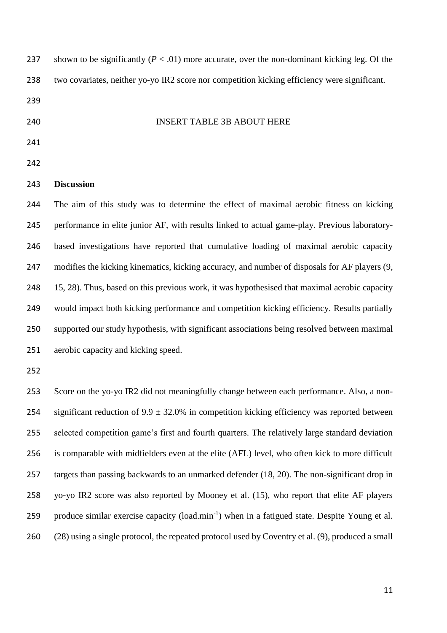| 237 | shown to be significantly ( $P < .01$ ) more accurate, over the non-dominant kicking leg. Of the           |
|-----|------------------------------------------------------------------------------------------------------------|
| 238 | two covariates, neither yo-yo IR2 score nor competition kicking efficiency were significant.               |
| 239 |                                                                                                            |
| 240 | <b>INSERT TABLE 3B ABOUT HERE</b>                                                                          |
| 241 |                                                                                                            |
| 242 |                                                                                                            |
| 243 | <b>Discussion</b>                                                                                          |
| 244 | The aim of this study was to determine the effect of maximal aerobic fitness on kicking                    |
| 245 | performance in elite junior AF, with results linked to actual game-play. Previous laboratory-              |
| 246 | based investigations have reported that cumulative loading of maximal aerobic capacity                     |
| 247 | modifies the kicking kinematics, kicking accuracy, and number of disposals for AF players (9,              |
| 248 | 15, 28). Thus, based on this previous work, it was hypothesised that maximal aerobic capacity              |
| 249 | would impact both kicking performance and competition kicking efficiency. Results partially                |
| 250 | supported our study hypothesis, with significant associations being resolved between maximal               |
| 251 | aerobic capacity and kicking speed.                                                                        |
| 252 |                                                                                                            |
| 253 | Score on the yo-yo IR2 did not meaningfully change between each performance. Also, a non-                  |
| 254 | significant reduction of $9.9 \pm 32.0\%$ in competition kicking efficiency was reported between           |
| 255 | selected competition game's first and fourth quarters. The relatively large standard deviation             |
| 256 | is comparable with midfielders even at the elite (AFL) level, who often kick to more difficult             |
| 257 | targets than passing backwards to an unmarked defender (18, 20). The non-significant drop in               |
| 258 | yo-yo IR2 score was also reported by Mooney et al. (15), who report that elite AF players                  |
| 259 | produce similar exercise capacity (load.min <sup>-1</sup> ) when in a fatigued state. Despite Young et al. |
| 260 | (28) using a single protocol, the repeated protocol used by Coventry et al. (9), produced a small          |
|     |                                                                                                            |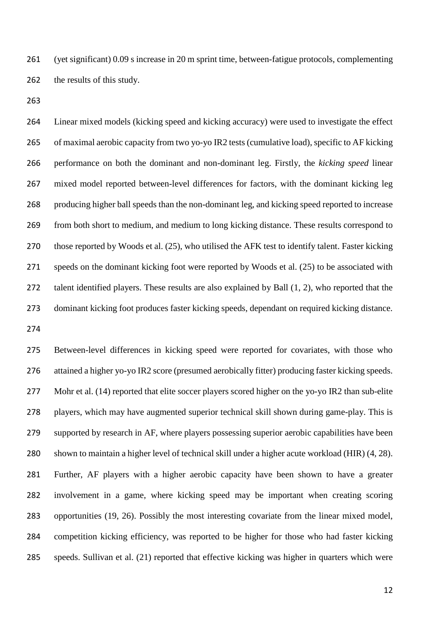(yet significant) 0.09 s increase in 20 m sprint time, between-fatigue protocols, complementing 262 the results of this study.

 Linear mixed models (kicking speed and kicking accuracy) were used to investigate the effect of maximal aerobic capacity from two yo-yo IR2 tests (cumulative load), specific to AF kicking performance on both the dominant and non-dominant leg. Firstly, the *kicking speed* linear mixed model reported between-level differences for factors, with the dominant kicking leg producing higher ball speeds than the non-dominant leg, and kicking speed reported to increase from both short to medium, and medium to long kicking distance. These results correspond to 270 those reported by Woods et al. (25), who utilised the AFK test to identify talent. Faster kicking speeds on the dominant kicking foot were reported by Woods et al. (25) to be associated with 272 talent identified players. These results are also explained by Ball  $(1, 2)$ , who reported that the dominant kicking foot produces faster kicking speeds, dependant on required kicking distance. 

 Between-level differences in kicking speed were reported for covariates, with those who attained a higher yo-yo IR2 score (presumed aerobically fitter) producing faster kicking speeds. 277 Mohr et al. (14) reported that elite soccer players scored higher on the yo-yo IR2 than sub-elite players, which may have augmented superior technical skill shown during game-play. This is supported by research in AF, where players possessing superior aerobic capabilities have been shown to maintain a higher level of technical skill under a higher acute workload (HIR) (4, 28). Further, AF players with a higher aerobic capacity have been shown to have a greater involvement in a game, where kicking speed may be important when creating scoring opportunities (19, 26). Possibly the most interesting covariate from the linear mixed model, competition kicking efficiency, was reported to be higher for those who had faster kicking speeds. Sullivan et al. (21) reported that effective kicking was higher in quarters which were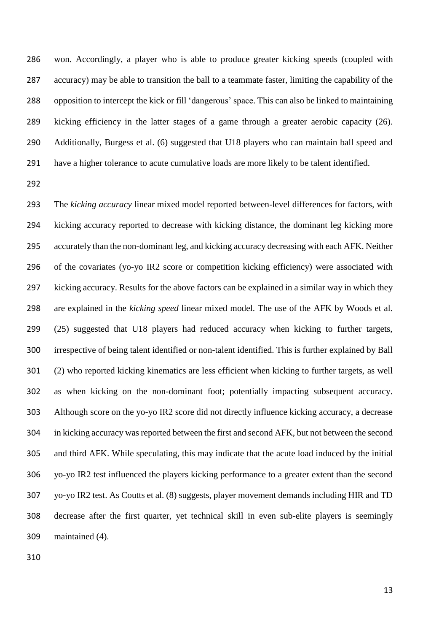won. Accordingly, a player who is able to produce greater kicking speeds (coupled with accuracy) may be able to transition the ball to a teammate faster, limiting the capability of the opposition to intercept the kick or fill 'dangerous' space. This can also be linked to maintaining kicking efficiency in the latter stages of a game through a greater aerobic capacity (26). Additionally, Burgess et al. (6) suggested that U18 players who can maintain ball speed and have a higher tolerance to acute cumulative loads are more likely to be talent identified.

 The *kicking accuracy* linear mixed model reported between-level differences for factors, with kicking accuracy reported to decrease with kicking distance, the dominant leg kicking more accurately than the non-dominant leg, and kicking accuracy decreasing with each AFK. Neither of the covariates (yo-yo IR2 score or competition kicking efficiency) were associated with kicking accuracy. Results for the above factors can be explained in a similar way in which they are explained in the *kicking speed* linear mixed model. The use of the AFK by Woods et al. (25) suggested that U18 players had reduced accuracy when kicking to further targets, irrespective of being talent identified or non-talent identified. This is further explained by Ball (2) who reported kicking kinematics are less efficient when kicking to further targets, as well as when kicking on the non-dominant foot; potentially impacting subsequent accuracy. Although score on the yo-yo IR2 score did not directly influence kicking accuracy, a decrease in kicking accuracy was reported between the first and second AFK, but not between the second and third AFK. While speculating, this may indicate that the acute load induced by the initial yo-yo IR2 test influenced the players kicking performance to a greater extent than the second yo-yo IR2 test. As Coutts et al. (8) suggests, player movement demands including HIR and TD decrease after the first quarter, yet technical skill in even sub-elite players is seemingly maintained (4).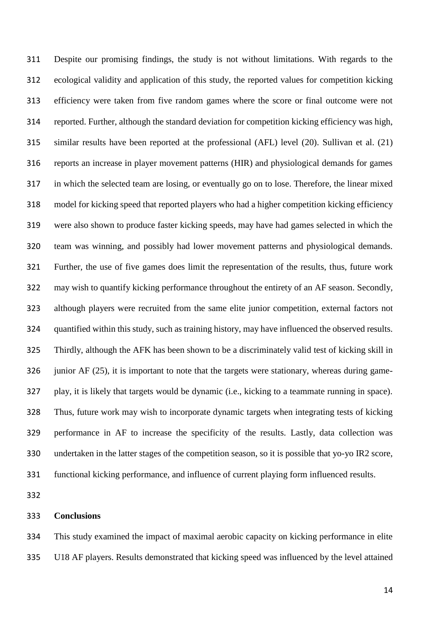Despite our promising findings, the study is not without limitations. With regards to the ecological validity and application of this study, the reported values for competition kicking efficiency were taken from five random games where the score or final outcome were not reported. Further, although the standard deviation for competition kicking efficiency was high, similar results have been reported at the professional (AFL) level (20). Sullivan et al. (21) reports an increase in player movement patterns (HIR) and physiological demands for games in which the selected team are losing, or eventually go on to lose. Therefore, the linear mixed model for kicking speed that reported players who had a higher competition kicking efficiency were also shown to produce faster kicking speeds, may have had games selected in which the team was winning, and possibly had lower movement patterns and physiological demands. Further, the use of five games does limit the representation of the results, thus, future work may wish to quantify kicking performance throughout the entirety of an AF season. Secondly, although players were recruited from the same elite junior competition, external factors not quantified within this study, such as training history, may have influenced the observed results. Thirdly, although the AFK has been shown to be a discriminately valid test of kicking skill in 326 junior AF (25), it is important to note that the targets were stationary, whereas during game- play, it is likely that targets would be dynamic (i.e., kicking to a teammate running in space). Thus, future work may wish to incorporate dynamic targets when integrating tests of kicking performance in AF to increase the specificity of the results. Lastly, data collection was undertaken in the latter stages of the competition season, so it is possible that yo-yo IR2 score, functional kicking performance, and influence of current playing form influenced results.

## **Conclusions**

 This study examined the impact of maximal aerobic capacity on kicking performance in elite U18 AF players. Results demonstrated that kicking speed was influenced by the level attained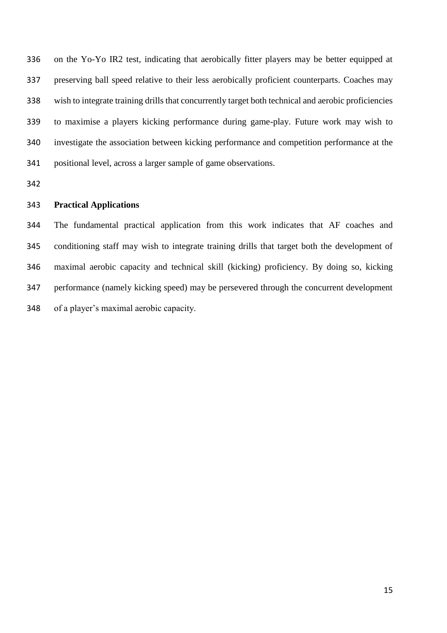on the Yo-Yo IR2 test, indicating that aerobically fitter players may be better equipped at preserving ball speed relative to their less aerobically proficient counterparts. Coaches may wish to integrate training drills that concurrently target both technical and aerobic proficiencies to maximise a players kicking performance during game-play. Future work may wish to investigate the association between kicking performance and competition performance at the positional level, across a larger sample of game observations.

## **Practical Applications**

 The fundamental practical application from this work indicates that AF coaches and conditioning staff may wish to integrate training drills that target both the development of maximal aerobic capacity and technical skill (kicking) proficiency. By doing so, kicking performance (namely kicking speed) may be persevered through the concurrent development of a player's maximal aerobic capacity.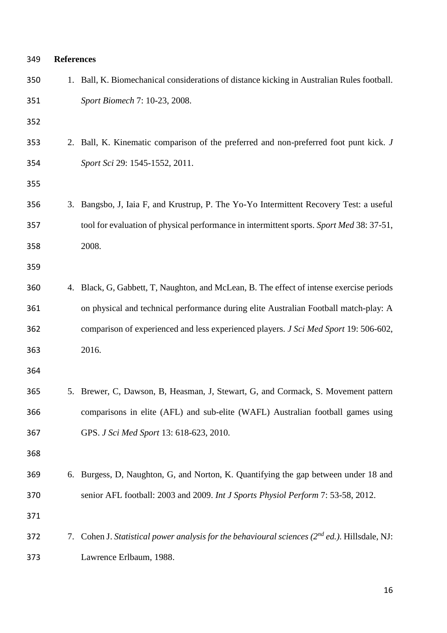| 349 | <b>References</b> |                                                                                                    |
|-----|-------------------|----------------------------------------------------------------------------------------------------|
| 350 |                   | 1. Ball, K. Biomechanical considerations of distance kicking in Australian Rules football.         |
| 351 |                   | Sport Biomech 7: 10-23, 2008.                                                                      |
| 352 |                   |                                                                                                    |
| 353 |                   | 2. Ball, K. Kinematic comparison of the preferred and non-preferred foot punt kick. J              |
| 354 |                   | Sport Sci 29: 1545-1552, 2011.                                                                     |
| 355 |                   |                                                                                                    |
| 356 |                   | 3. Bangsbo, J, Iaia F, and Krustrup, P. The Yo-Yo Intermittent Recovery Test: a useful             |
| 357 |                   | tool for evaluation of physical performance in intermittent sports. Sport Med 38: 37-51,           |
| 358 |                   | 2008.                                                                                              |
| 359 |                   |                                                                                                    |
| 360 |                   | 4. Black, G, Gabbett, T, Naughton, and McLean, B. The effect of intense exercise periods           |
| 361 |                   | on physical and technical performance during elite Australian Football match-play: A               |
| 362 |                   | comparison of experienced and less experienced players. J Sci Med Sport 19: 506-602,               |
| 363 |                   | 2016.                                                                                              |
| 364 |                   |                                                                                                    |
| 365 |                   | 5. Brewer, C, Dawson, B, Heasman, J, Stewart, G, and Cormack, S. Movement pattern                  |
| 366 |                   | comparisons in elite (AFL) and sub-elite (WAFL) Australian football games using                    |
| 367 |                   | GPS. J Sci Med Sport 13: 618-623, 2010.                                                            |
| 368 |                   |                                                                                                    |
| 369 |                   | 6. Burgess, D, Naughton, G, and Norton, K. Quantifying the gap between under 18 and                |
| 370 |                   | senior AFL football: 2003 and 2009. Int J Sports Physiol Perform 7: 53-58, 2012.                   |
| 371 |                   |                                                                                                    |
| 372 |                   | 7. Cohen J. Statistical power analysis for the behavioural sciences $(2^{nd}$ ed.). Hillsdale, NJ: |
| 373 |                   | Lawrence Erlbaum, 1988.                                                                            |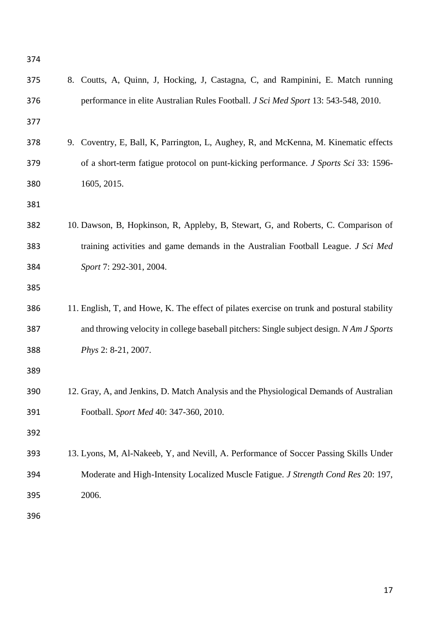| 374 |                                                                                             |
|-----|---------------------------------------------------------------------------------------------|
| 375 | 8. Coutts, A, Quinn, J, Hocking, J, Castagna, C, and Rampinini, E. Match running            |
| 376 | performance in elite Australian Rules Football. J Sci Med Sport 13: 543-548, 2010.          |
| 377 |                                                                                             |
| 378 | 9. Coventry, E, Ball, K, Parrington, L, Aughey, R, and McKenna, M. Kinematic effects        |
| 379 | of a short-term fatigue protocol on punt-kicking performance. J Sports Sci 33: 1596-        |
| 380 | 1605, 2015.                                                                                 |
| 381 |                                                                                             |
| 382 | 10. Dawson, B, Hopkinson, R, Appleby, B, Stewart, G, and Roberts, C. Comparison of          |
| 383 | training activities and game demands in the Australian Football League. J Sci Med           |
| 384 | Sport 7: 292-301, 2004.                                                                     |
| 385 |                                                                                             |
| 386 | 11. English, T, and Howe, K. The effect of pilates exercise on trunk and postural stability |
| 387 | and throwing velocity in college baseball pitchers: Single subject design. N Am J Sports    |
| 388 | Phys 2: 8-21, 2007.                                                                         |
| 389 |                                                                                             |
| 390 | 12. Gray, A, and Jenkins, D. Match Analysis and the Physiological Demands of Australian     |
| 391 | Football. Sport Med 40: 347-360, 2010.                                                      |
| 392 |                                                                                             |
| 393 | 13. Lyons, M, Al-Nakeeb, Y, and Nevill, A. Performance of Soccer Passing Skills Under       |
| 394 | Moderate and High-Intensity Localized Muscle Fatigue. J Strength Cond Res 20: 197,          |
| 395 | 2006.                                                                                       |
| 396 |                                                                                             |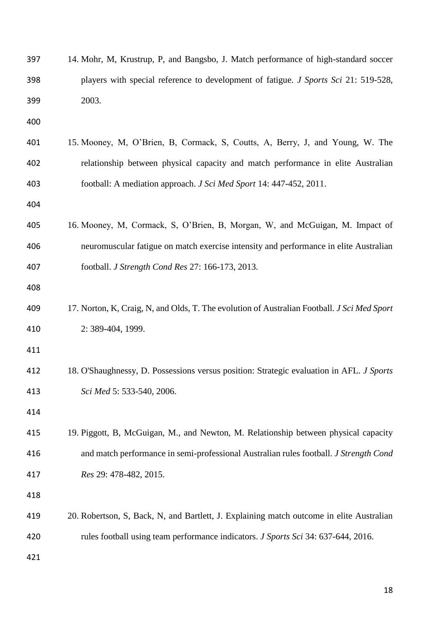| 397 | 14. Mohr, M, Krustrup, P, and Bangsbo, J. Match performance of high-standard soccer         |
|-----|---------------------------------------------------------------------------------------------|
| 398 | players with special reference to development of fatigue. <i>J Sports Sci</i> 21: 519-528,  |
| 399 | 2003.                                                                                       |
| 400 |                                                                                             |
| 401 | 15. Mooney, M, O'Brien, B, Cormack, S, Coutts, A, Berry, J, and Young, W. The               |
| 402 | relationship between physical capacity and match performance in elite Australian            |
| 403 | football: A mediation approach. J Sci Med Sport 14: 447-452, 2011.                          |
| 404 |                                                                                             |
| 405 | 16. Mooney, M, Cormack, S, O'Brien, B, Morgan, W, and McGuigan, M. Impact of                |
| 406 | neuromuscular fatigue on match exercise intensity and performance in elite Australian       |
| 407 | football. J Strength Cond Res 27: 166-173, 2013.                                            |
| 408 |                                                                                             |
| 409 | 17. Norton, K, Craig, N, and Olds, T. The evolution of Australian Football. J Sci Med Sport |
| 410 | 2: 389-404, 1999.                                                                           |
| 411 |                                                                                             |
| 412 | 18. O'Shaughnessy, D. Possessions versus position: Strategic evaluation in AFL. J Sports    |
| 413 | Sci Med 5: 533-540, 2006.                                                                   |
| 414 |                                                                                             |
| 415 | 19. Piggott, B, McGuigan, M., and Newton, M. Relationship between physical capacity         |
| 416 | and match performance in semi-professional Australian rules football. J Strength Cond       |
| 417 | Res 29: 478-482, 2015.                                                                      |
| 418 |                                                                                             |
| 419 | 20. Robertson, S, Back, N, and Bartlett, J. Explaining match outcome in elite Australian    |
| 420 | rules football using team performance indicators. J Sports Sci 34: 637-644, 2016.           |
| 421 |                                                                                             |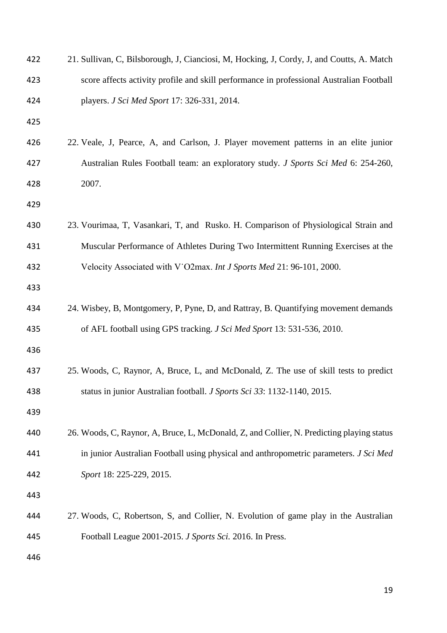| 422 | 21. Sullivan, C, Bilsborough, J, Cianciosi, M, Hocking, J, Cordy, J, and Coutts, A. Match |
|-----|-------------------------------------------------------------------------------------------|
| 423 | score affects activity profile and skill performance in professional Australian Football  |
| 424 | players. J Sci Med Sport 17: 326-331, 2014.                                               |
| 425 |                                                                                           |
| 426 | 22. Veale, J, Pearce, A, and Carlson, J. Player movement patterns in an elite junior      |
| 427 | Australian Rules Football team: an exploratory study. J Sports Sci Med 6: 254-260,        |
| 428 | 2007.                                                                                     |
| 429 |                                                                                           |
| 430 | 23. Vourimaa, T, Vasankari, T, and Rusko. H. Comparison of Physiological Strain and       |
| 431 | Muscular Performance of Athletes During Two Intermittent Running Exercises at the         |
| 432 | Velocity Associated with V O2max. Int J Sports Med 21: 96-101, 2000.                      |
| 433 |                                                                                           |
| 434 | 24. Wisbey, B, Montgomery, P, Pyne, D, and Rattray, B. Quantifying movement demands       |
| 435 | of AFL football using GPS tracking. J Sci Med Sport 13: 531-536, 2010.                    |
| 436 |                                                                                           |
| 437 | 25. Woods, C, Raynor, A, Bruce, L, and McDonald, Z. The use of skill tests to predict     |
| 438 | status in junior Australian football. J Sports Sci 33: 1132-1140, 2015.                   |
| 439 |                                                                                           |
| 440 | 26. Woods, C, Raynor, A, Bruce, L, McDonald, Z, and Collier, N. Predicting playing status |
| 441 | in junior Australian Football using physical and anthropometric parameters. J Sci Med     |
| 442 | Sport 18: 225-229, 2015.                                                                  |
| 443 |                                                                                           |
| 444 | 27. Woods, C, Robertson, S, and Collier, N. Evolution of game play in the Australian      |
| 445 | Football League 2001-2015. J Sports Sci. 2016. In Press.                                  |
| 446 |                                                                                           |